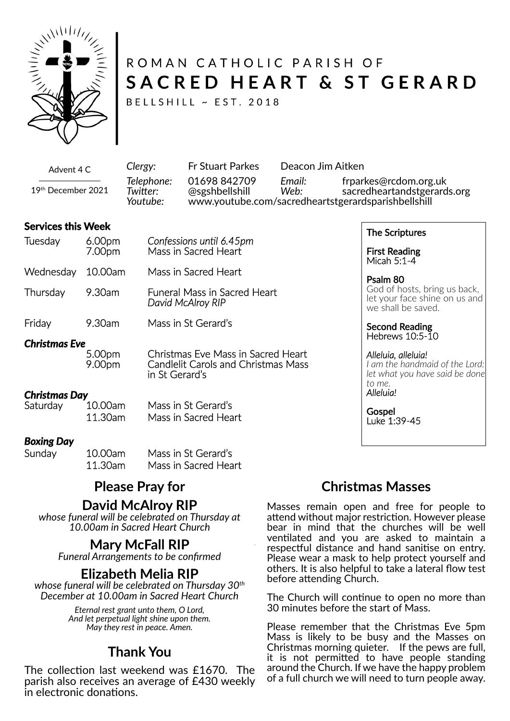

# ROMAN CATHOLIC PARISH OF SACRED HEART & ST GERARD

BELLSHILL ~ EST. 2018

Advent 4 C 19th December 2021 *Clergy:* Fr Stuart Parkes Deacon Jim Aitken *Telephone:* 01698 842709 *Email:* frparkes@rcdom.org.uk *Twi�er:* @sgshbellshill *Web:* sacredheartandstgerards.org *Youtube:* www.youtube.com/sacredheartstgerardsparishbellshill

#### **Services this Week**

| Tuesday   | 6.00 <sub>pm</sub><br>7.00pm | Confessions until 6.45pm<br>Mass in Sacred Heart         |
|-----------|------------------------------|----------------------------------------------------------|
| Wednesday | 10.00am                      | Mass in Sacred Heart                                     |
| Thursday  | 9.30am                       | <b>Funeral Mass in Sacred Heart</b><br>David McAlroy RIP |
| Friday    | 9.30am                       | Mass in St Gerard's                                      |

*Christmas Eve*

5.00pm Christmas Eve Mass in Sacred Heart<br>9.00pm Candlelit Carols and Christmas Mass Candlelit Carols and Christmas Mass in St Gerard's

# *Christmas Day*

Mass in St Gerard's 11.30am Mass in Sacred Heart

#### *Boxing Day*

| Sunday | 10.00am | Mass in St Gerard's  |
|--------|---------|----------------------|
|        | 11.30am | Mass in Sacred Heart |

# **Please Pray for**

#### **David McAlroy RIP**

*whose funeral will be celebrated on Thursday at 10.00am in Sacred Heart Church*

# **Mary McFall RIP**

*Funeral Arrangements to be confirmed*

### **Elizabeth Melia RIP**

*whose funeral will be celebrated on Thursday 30th December at 10.00am in Sacred Heart Church*

> *Eternal rest grant unto them, O Lord, And let perpetual light shine upon them. May they rest in peace. Amen.*

# **Thank You**

The collection last weekend was £1670. The parish also receives an average of £430 weekly in electronic donations.

### The Scriptures

First Reading Micah 5:1-4

Psalm 80 God of hosts, bring us back, let your face shine on us and we shall be saved.

#### Second Reading Hebrews 10:5-10

#### *Alleluia, alleluia!*

*I am the handmaid of the Lord: let what you have said be done to me. Alleluia!*

**Gospel** Luke 1:39-45

### **Christmas Masses**

Masses remain open and free for people to attend without major restriction. However please bear in mind that the churches will be well ventilated and you are asked to maintain a respectful distance and hand sanitise on entry. Please wear a mask to help protect yourself and others. It is also helpful to take a lateral flow test before attending Church.

The Church will continue to open no more than 30 minutes before the start of Mass.

Please remember that the Christmas Eve 5pm Mass is likely to be busy and the Masses on Christmas morning quieter. If the pews are full, it is not permitted to have people standing around the Church. If we have the happy problem of a full church we will need to turn people away.